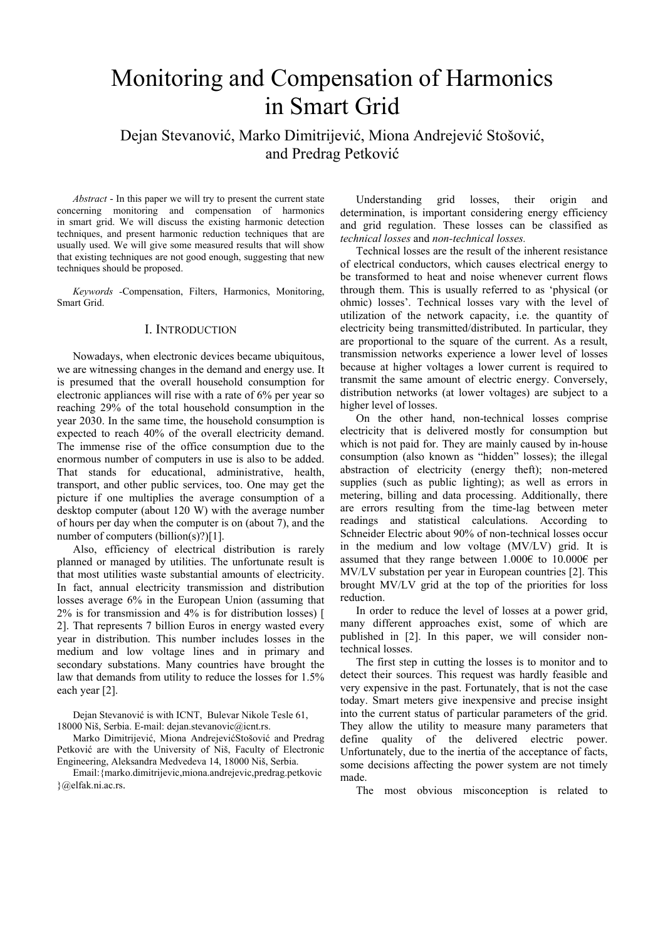# Monitoring and Compensation of Harmonics in Smart Grid

Dejan Stevanović, Marko Dimitrijević, Miona Andrejević Stošović, and Predrag Petković

*Abstract* - In this paper we will try to present the current state concerning monitoring and compensation of harmonics in smart grid. We will discuss the existing harmonic detection techniques, and present harmonic reduction techniques that are usually used. We will give some measured results that will show that existing techniques are not good enough, suggesting that new techniques should be proposed.

*Keywords -*Compensation, Filters, Harmonics, Monitoring, Smart Grid.

# I. INTRODUCTION

Nowadays, when electronic devices became ubiquitous, we are witnessing changes in the demand and energy use. It is presumed that the overall household consumption for electronic appliances will rise with a rate of 6% per year so reaching 29% of the total household consumption in the year 2030. In the same time, the household consumption is expected to reach 40% of the overall electricity demand. The immense rise of the office consumption due to the enormous number of computers in use is also to be added. That stands for educational, administrative, health, transport, and other public services, too. One may get the picture if one multiplies the average consumption of a desktop computer (about 120 W) with the average number of hours per day when the computer is on (about 7), and the number of computers (billion(s)?)[1].

Also, efficiency of electrical distribution is rarely planned or managed by utilities. The unfortunate result is that most utilities waste substantial amounts of electricity. In fact, annual electricity transmission and distribution losses average 6% in the European Union (assuming that 2% is for transmission and 4% is for distribution losses) [ 2]. That represents 7 billion Euros in energy wasted every year in distribution. This number includes losses in the medium and low voltage lines and in primary and secondary substations. Many countries have brought the law that demands from utility to reduce the losses for 1.5% each year [2].

Dejan Stevanović is with ICNT, Bulevar Nikole Tesle 61, 18000 Niš, Serbia. E-mail: dejan.stevanovic@icnt.rs.

Marko Dimitrijević, Miona AndrejevićStošović and Predrag Petković are with the University of Niš, Faculty of Electronic Engineering, Aleksandra Medvedeva 14, 18000 Niš, Serbia.

Email:{marko.dimitrijevic,miona.andrejevic,predrag.petkovic }@elfak.ni.ac.rs.

Understanding grid losses, their origin and determination, is important considering energy efficiency and grid regulation. These losses can be classified as *technical losses* and *non-technical losses.* 

Technical losses are the result of the inherent resistance of electrical conductors, which causes electrical energy to be transformed to heat and noise whenever current flows through them. This is usually referred to as 'physical (or ohmic) losses'. Technical losses vary with the level of utilization of the network capacity, i.e. the quantity of electricity being transmitted/distributed. In particular, they are proportional to the square of the current. As a result, transmission networks experience a lower level of losses because at higher voltages a lower current is required to transmit the same amount of electric energy. Conversely, distribution networks (at lower voltages) are subject to a higher level of losses.

On the other hand, non-technical losses comprise electricity that is delivered mostly for consumption but which is not paid for. They are mainly caused by in-house consumption (also known as "hidden" losses); the illegal abstraction of electricity (energy theft); non-metered supplies (such as public lighting); as well as errors in metering, billing and data processing. Additionally, there are errors resulting from the time-lag between meter readings and statistical calculations. According to Schneider Electric about 90% of non-technical losses occur in the medium and low voltage (MV/LV) grid. It is assumed that they range between 1.000€ to 10.000€ per MV/LV substation per year in European countries [2]. This brought MV/LV grid at the top of the priorities for loss reduction.

In order to reduce the level of losses at a power grid, many different approaches exist, some of which are published in [2]. In this paper, we will consider nontechnical losses.

The first step in cutting the losses is to monitor and to detect their sources. This request was hardly feasible and very expensive in the past. Fortunately, that is not the case today. Smart meters give inexpensive and precise insight into the current status of particular parameters of the grid. They allow the utility to measure many parameters that define quality of the delivered electric power. Unfortunately, due to the inertia of the acceptance of facts, some decisions affecting the power system are not timely made.

The most obvious misconception is related to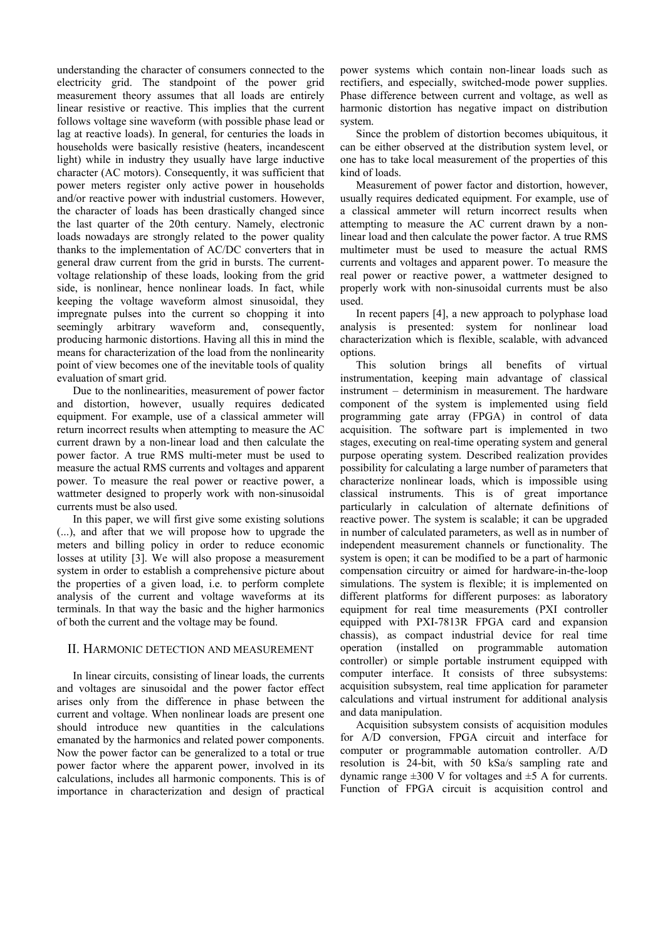understanding the character of consumers connected to the electricity grid. The standpoint of the power grid measurement theory assumes that all loads are entirely linear resistive or reactive. This implies that the current follows voltage sine waveform (with possible phase lead or lag at reactive loads). In general, for centuries the loads in households were basically resistive (heaters, incandescent light) while in industry they usually have large inductive character (AC motors). Consequently, it was sufficient that power meters register only active power in households and/or reactive power with industrial customers. However, the character of loads has been drastically changed since the last quarter of the 20th century. Namely, electronic loads nowadays are strongly related to the power quality thanks to the implementation of AC/DC converters that in general draw current from the grid in bursts. The currentvoltage relationship of these loads, looking from the grid side, is nonlinear, hence nonlinear loads. In fact, while keeping the voltage waveform almost sinusoidal, they impregnate pulses into the current so chopping it into seemingly arbitrary waveform and, consequently, producing harmonic distortions. Having all this in mind the means for characterization of the load from the nonlinearity point of view becomes one of the inevitable tools of quality evaluation of smart grid.

Due to the nonlinearities, measurement of power factor and distortion, however, usually requires dedicated equipment. For example, use of a classical ammeter will return incorrect results when attempting to measure the AC current drawn by a non-linear load and then calculate the power factor. A true RMS multi-meter must be used to measure the actual RMS currents and voltages and apparent power. To measure the real power or reactive power, a wattmeter designed to properly work with non-sinusoidal currents must be also used.

In this paper, we will first give some existing solutions (...), and after that we will propose how to upgrade the meters and billing policy in order to reduce economic losses at utility [3]. We will also propose a measurement system in order to establish a comprehensive picture about the properties of a given load, i.e. to perform complete analysis of the current and voltage waveforms at its terminals. In that way the basic and the higher harmonics of both the current and the voltage may be found.

# II. HARMONIC DETECTION AND MEASUREMENT

In linear circuits, consisting of linear loads, the currents and voltages are sinusoidal and the power factor effect arises only from the difference in phase between the current and voltage. When nonlinear loads are present one should introduce new quantities in the calculations emanated by the harmonics and related power components. Now the power factor can be generalized to a total or true power factor where the apparent power, involved in its calculations, includes all harmonic components. This is of importance in characterization and design of practical

power systems which contain non-linear loads such as rectifiers, and especially, switched-mode power supplies. Phase difference between current and voltage, as well as harmonic distortion has negative impact on distribution system.

Since the problem of distortion becomes ubiquitous, it can be either observed at the distribution system level, or one has to take local measurement of the properties of this kind of loads.

Measurement of power factor and distortion, however, usually requires dedicated equipment. For example, use of a classical ammeter will return incorrect results when attempting to measure the AC current drawn by a nonlinear load and then calculate the power factor. A true RMS multimeter must be used to measure the actual RMS currents and voltages and apparent power. To measure the real power or reactive power, a wattmeter designed to properly work with non-sinusoidal currents must be also used.

In recent papers [4], a new approach to polyphase load analysis is presented: system for nonlinear load characterization which is flexible, scalable, with advanced options.

This solution brings all benefits of virtual instrumentation, keeping main advantage of classical instrument – determinism in measurement. The hardware component of the system is implemented using field programming gate array (FPGA) in control of data acquisition. The software part is implemented in two stages, executing on real-time operating system and general purpose operating system. Described realization provides possibility for calculating a large number of parameters that characterize nonlinear loads, which is impossible using classical instruments. This is of great importance particularly in calculation of alternate definitions of reactive power. The system is scalable; it can be upgraded in number of calculated parameters, as well as in number of independent measurement channels or functionality. The system is open; it can be modified to be a part of harmonic compensation circuitry or aimed for hardware-in-the-loop simulations. The system is flexible; it is implemented on different platforms for different purposes: as laboratory equipment for real time measurements (PXI controller equipped with PXI-7813R FPGA card and expansion chassis), as compact industrial device for real time operation (installed on programmable automation controller) or simple portable instrument equipped with computer interface. It consists of three subsystems: acquisition subsystem, real time application for parameter calculations and virtual instrument for additional analysis and data manipulation.

Acquisition subsystem consists of acquisition modules for A/D conversion, FPGA circuit and interface for computer or programmable automation controller. A/D resolution is 24-bit, with 50 kSa/s sampling rate and dynamic range  $\pm 300$  V for voltages and  $\pm 5$  A for currents. Function of FPGA circuit is acquisition control and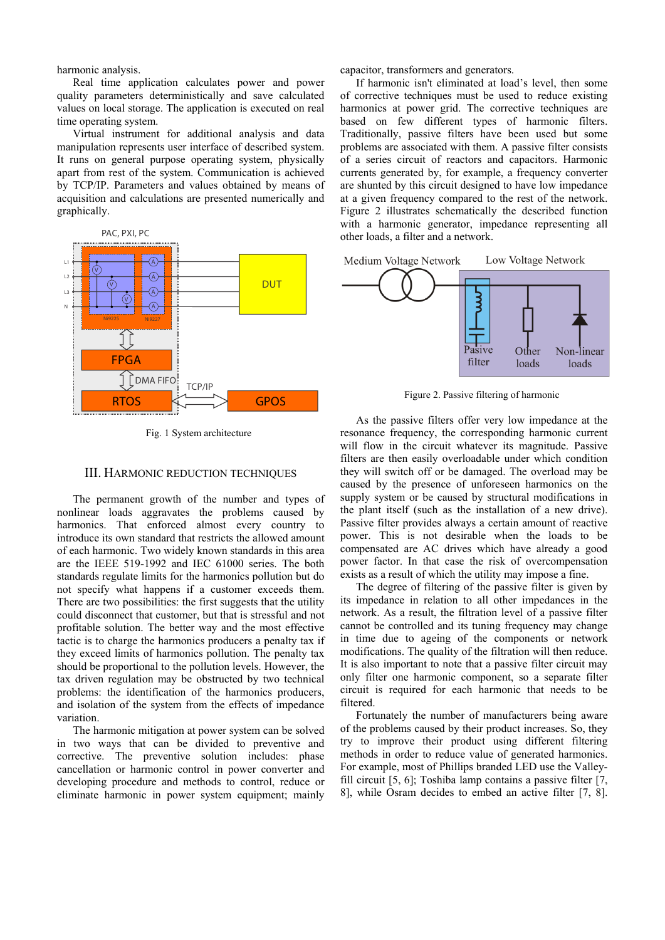harmonic analysis.

Real time application calculates power and power quality parameters deterministically and save calculated values on local storage. The application is executed on real time operating system.

Virtual instrument for additional analysis and data manipulation represents user interface of described system. It runs on general purpose operating system, physically apart from rest of the system. Communication is achieved by TCP/IP. Parameters and values obtained by means of acquisition and calculations are presented numerically and graphically.



Fig. 1 System architecture

#### III. HARMONIC REDUCTION TECHNIQUES

The permanent growth of the number and types of nonlinear loads aggravates the problems caused by harmonics. That enforced almost every country to introduce its own standard that restricts the allowed amount of each harmonic. Two widely known standards in this area are the IEEE 519-1992 and IEC 61000 series. The both standards regulate limits for the harmonics pollution but do not specify what happens if a customer exceeds them. There are two possibilities: the first suggests that the utility could disconnect that customer, but that is stressful and not profitable solution. The better way and the most effective tactic is to charge the harmonics producers a penalty tax if they exceed limits of harmonics pollution. The penalty tax should be proportional to the pollution levels. However, the tax driven regulation may be obstructed by two technical problems: the identification of the harmonics producers, and isolation of the system from the effects of impedance variation.

The harmonic mitigation at power system can be solved in two ways that can be divided to preventive and corrective. The preventive solution includes: phase cancellation or harmonic control in power converter and developing procedure and methods to control, reduce or eliminate harmonic in power system equipment; mainly capacitor, transformers and generators.

If harmonic isn't eliminated at load's level, then some of corrective techniques must be used to reduce existing harmonics at power grid. The corrective techniques are based on few different types of harmonic filters. Traditionally, passive filters have been used but some problems are associated with them. A passive filter consists of a series circuit of reactors and capacitors. Harmonic currents generated by, for example, a frequency converter are shunted by this circuit designed to have low impedance at a given frequency compared to the rest of the network. Figure 2 illustrates schematically the described function with a harmonic generator, impedance representing all other loads, a filter and a network.



Figure 2. Passive filtering of harmonic

As the passive filters offer very low impedance at the resonance frequency, the corresponding harmonic current will flow in the circuit whatever its magnitude. Passive filters are then easily overloadable under which condition they will switch off or be damaged. The overload may be caused by the presence of unforeseen harmonics on the supply system or be caused by structural modifications in the plant itself (such as the installation of a new drive). Passive filter provides always a certain amount of reactive power. This is not desirable when the loads to be compensated are AC drives which have already a good power factor. In that case the risk of overcompensation exists as a result of which the utility may impose a fine.

The degree of filtering of the passive filter is given by its impedance in relation to all other impedances in the network. As a result, the filtration level of a passive filter cannot be controlled and its tuning frequency may change in time due to ageing of the components or network modifications. The quality of the filtration will then reduce. It is also important to note that a passive filter circuit may only filter one harmonic component, so a separate filter circuit is required for each harmonic that needs to be filtered.

Fortunately the number of manufacturers being aware of the problems caused by their product increases. So, they try to improve their product using different filtering methods in order to reduce value of generated harmonics. For example, most of Phillips branded LED use the Valleyfill circuit [5, 6]; Toshiba lamp contains a passive filter [7, 8], while Osram decides to embed an active filter [7, 8].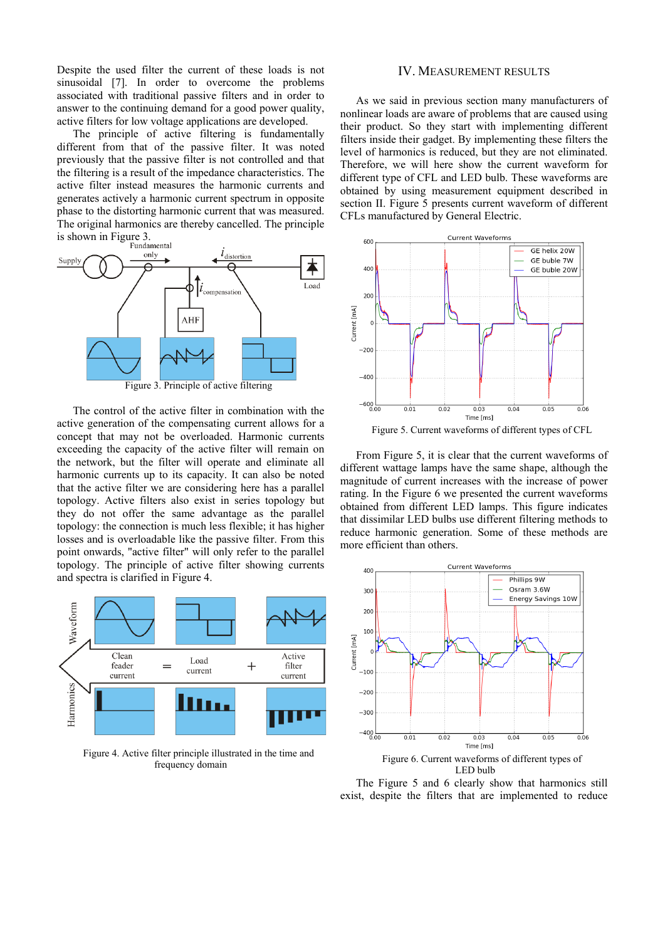Despite the used filter the current of these loads is not sinusoidal [7]. In order to overcome the problems associated with traditional passive filters and in order to answer to the continuing demand for a good power quality, active filters for low voltage applications are developed.

The principle of active filtering is fundamentally different from that of the passive filter. It was noted previously that the passive filter is not controlled and that the filtering is a result of the impedance characteristics. The active filter instead measures the harmonic currents and generates actively a harmonic current spectrum in opposite phase to the distorting harmonic current that was measured. The original harmonics are thereby cancelled. The principle is shown in Figure 3.



The control of the active filter in combination with the active generation of the compensating current allows for a concept that may not be overloaded. Harmonic currents exceeding the capacity of the active filter will remain on the network, but the filter will operate and eliminate all harmonic currents up to its capacity. It can also be noted that the active filter we are considering here has a parallel topology. Active filters also exist in series topology but they do not offer the same advantage as the parallel topology: the connection is much less flexible; it has higher losses and is overloadable like the passive filter. From this point onwards, "active filter" will only refer to the parallel topology. The principle of active filter showing currents and spectra is clarified in Figure 4.



Figure 4. Active filter principle illustrated in the time and frequency domain

### IV. MEASUREMENT RESULTS

As we said in previous section many manufacturers of nonlinear loads are aware of problems that are caused using their product. So they start with implementing different filters inside their gadget. By implementing these filters the level of harmonics is reduced, but they are not eliminated. Therefore, we will here show the current waveform for different type of CFL and LED bulb. These waveforms are obtained by using measurement equipment described in section II. Figure 5 presents current waveform of different CFLs manufactured by General Electric.



Figure 5. Current waveforms of different types of CFL

From Figure 5, it is clear that the current waveforms of different wattage lamps have the same shape, although the magnitude of current increases with the increase of power rating. In the Figure 6 we presented the current waveforms obtained from different LED lamps. This figure indicates that dissimilar LED bulbs use different filtering methods to reduce harmonic generation. Some of these methods are more efficient than others.



LED bulb

The Figure 5 and 6 clearly show that harmonics still exist, despite the filters that are implemented to reduce